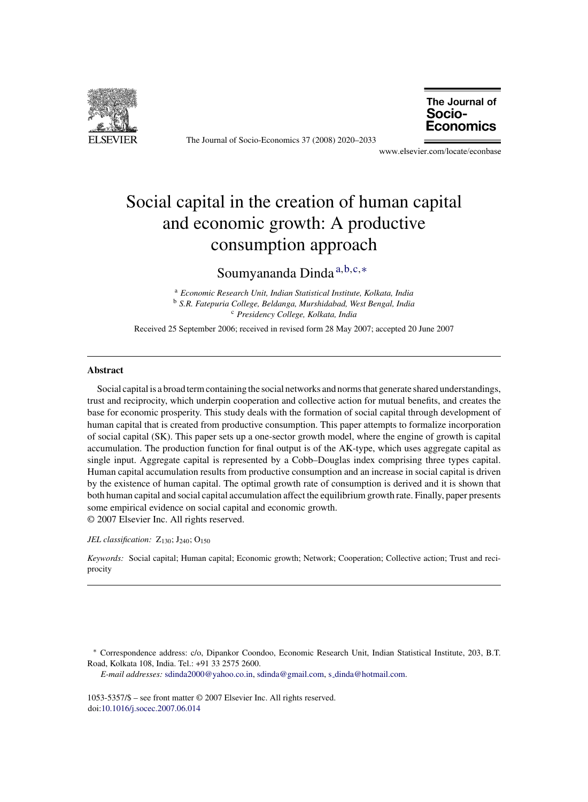

The Journal of Socio-Economics 37 (2008) 2020–2033

The Journal of Socio-Economics

www.elsevier.com/locate/econbase

# Social capital in the creation of human capital and economic growth: A productive consumption approach

### Soumyananda Dinda <sup>a</sup>,b,c,<sup>∗</sup>

<sup>a</sup> *Economic Research Unit, Indian Statistical Institute, Kolkata, India* <sup>b</sup> *S.R. Fatepuria College, Beldanga, Murshidabad, West Bengal, India* <sup>c</sup> *Presidency College, Kolkata, India*

Received 25 September 2006; received in revised form 28 May 2007; accepted 20 June 2007

### **Abstract**

Social capital is a broad term containing the social networks and norms that generate shared understandings, trust and reciprocity, which underpin cooperation and collective action for mutual benefits, and creates the base for economic prosperity. This study deals with the formation of social capital through development of human capital that is created from productive consumption. This paper attempts to formalize incorporation of social capital (SK). This paper sets up a one-sector growth model, where the engine of growth is capital accumulation. The production function for final output is of the AK-type, which uses aggregate capital as single input. Aggregate capital is represented by a Cobb–Douglas index comprising three types capital. Human capital accumulation results from productive consumption and an increase in social capital is driven by the existence of human capital. The optimal growth rate of consumption is derived and it is shown that both human capital and social capital accumulation affect the equilibrium growth rate. Finally, paper presents some empirical evidence on social capital and economic growth. © 2007 Elsevier Inc. All rights reserved.

*JEL classification:* Z<sub>130</sub>; J<sub>240</sub>; O<sub>150</sub>

*Keywords:* Social capital; Human capital; Economic growth; Network; Cooperation; Collective action; Trust and reciprocity

*E-mail addresses:* [sdinda2000@yahoo.co.in,](mailto:sdinda2000@yahoo.co.in) [sdinda@gmail.com,](mailto:sdinda@gmail.com) s\_[dinda@hotmail.com](mailto:s_dinda@hotmail.com).

1053-5357/\$ – see front matter © 2007 Elsevier Inc. All rights reserved. doi:[10.1016/j.socec.2007.06.014](dx.doi.org/10.1016/j.socec.2007.06.014)

<sup>∗</sup> Correspondence address: c/o, Dipankor Coondoo, Economic Research Unit, Indian Statistical Institute, 203, B.T. Road, Kolkata 108, India. Tel.: +91 33 2575 2600.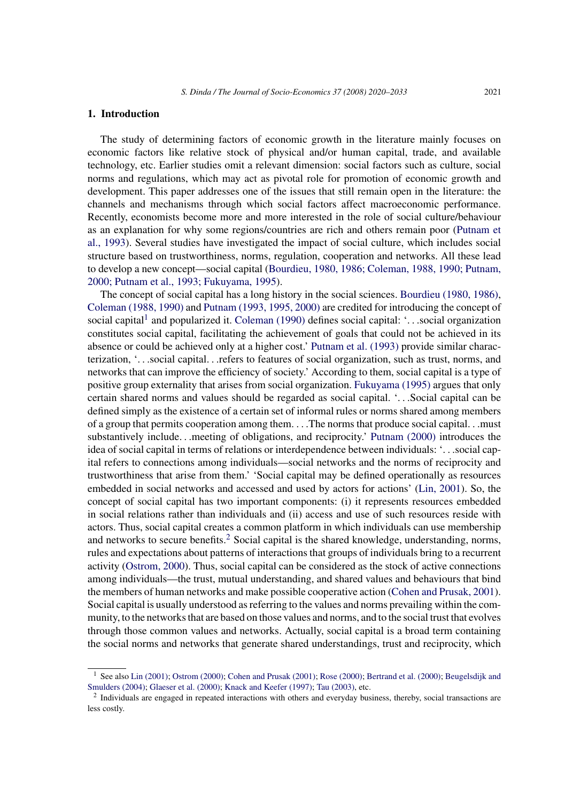#### **1. Introduction**

The study of determining factors of economic growth in the literature mainly focuses on economic factors like relative stock of physical and/or human capital, trade, and available technology, etc. Earlier studies omit a relevant dimension: social factors such as culture, social norms and regulations, which may act as pivotal role for promotion of economic growth and development. This paper addresses one of the issues that still remain open in the literature: the channels and mechanisms through which social factors affect macroeconomic performance. Recently, economists become more and more interested in the role of social culture/behaviour as an explanation for why some regions/countries are rich and others remain poor ([Putnam et](#page--1-0) [al., 1993\).](#page--1-0) Several studies have investigated the impact of social culture, which includes social structure based on trustworthiness, norms, regulation, cooperation and networks. All these lead to develop a new concept—social capital ([Bourdieu, 1980, 1986; Coleman, 1988, 1990; Putnam,](#page--1-0) [2000; Putnam et al., 1993; Fukuyama, 1995\).](#page--1-0)

The concept of social capital has a long history in the social sciences. [Bourdieu \(1980, 1986\),](#page--1-0) [Coleman \(1988, 1990\)](#page--1-0) and [Putnam \(1993, 1995, 2000\)](#page--1-0) are credited for introducing the concept of social capital<sup>1</sup> and popularized it. [Coleman \(1990\)](#page--1-0) defines social capital: '...social organization constitutes social capital, facilitating the achievement of goals that could not be achieved in its absence or could be achieved only at a higher cost.' [Putnam et al. \(1993\)](#page--1-0) provide similar characterization, '...social capital...refers to features of social organization, such as trust, norms, and networks that can improve the efficiency of society.' According to them, social capital is a type of positive group externality that arises from social organization. [Fukuyama \(1995\)](#page--1-0) argues that only certain shared norms and values should be regarded as social capital. '...Social capital can be defined simply as the existence of a certain set of informal rules or norms shared among members of a group that permits cooperation among them. ...The norms that produce social capital...must substantively include...meeting of obligations, and reciprocity.' [Putnam \(2000\)](#page--1-0) introduces the idea of social capital in terms of relations or interdependence between individuals: '...social capital refers to connections among individuals—social networks and the norms of reciprocity and trustworthiness that arise from them.' 'Social capital may be defined operationally as resources embedded in social networks and accessed and used by actors for actions' [\(Lin, 2001\).](#page--1-0) So, the concept of social capital has two important components: (i) it represents resources embedded in social relations rather than individuals and (ii) access and use of such resources reside with actors. Thus, social capital creates a common platform in which individuals can use membership and networks to secure benefits.<sup>2</sup> Social capital is the shared knowledge, understanding, norms, rules and expectations about patterns of interactions that groups of individuals bring to a recurrent activity [\(Ostrom, 2000\).](#page--1-0) Thus, social capital can be considered as the stock of active connections among individuals—the trust, mutual understanding, and shared values and behaviours that bind the members of human networks and make possible cooperative action [\(Cohen and Prusak, 2001\).](#page--1-0) Social capital is usually understood as referring to the values and norms prevailing within the community, to the networks that are based on those values and norms, and to the social trust that evolves through those common values and networks. Actually, social capital is a broad term containing the social norms and networks that generate shared understandings, trust and reciprocity, which

<sup>&</sup>lt;sup>1</sup> See also [Lin \(2001\);](#page--1-0) [Ostrom \(2000\);](#page--1-0) [Cohen and Prusak \(2001\);](#page--1-0) [Rose \(2000\);](#page--1-0) [Bertrand et al. \(2000\);](#page--1-0) [Beugelsdijk and](#page--1-0) [Smulders \(2004\);](#page--1-0) [Glaeser et al. \(2000\);](#page--1-0) [Knack and Keefer \(1997\);](#page--1-0) [Tau \(2003\), e](#page--1-0)tc.

<sup>&</sup>lt;sup>2</sup> Individuals are engaged in repeated interactions with others and everyday business, thereby, social transactions are less costly.